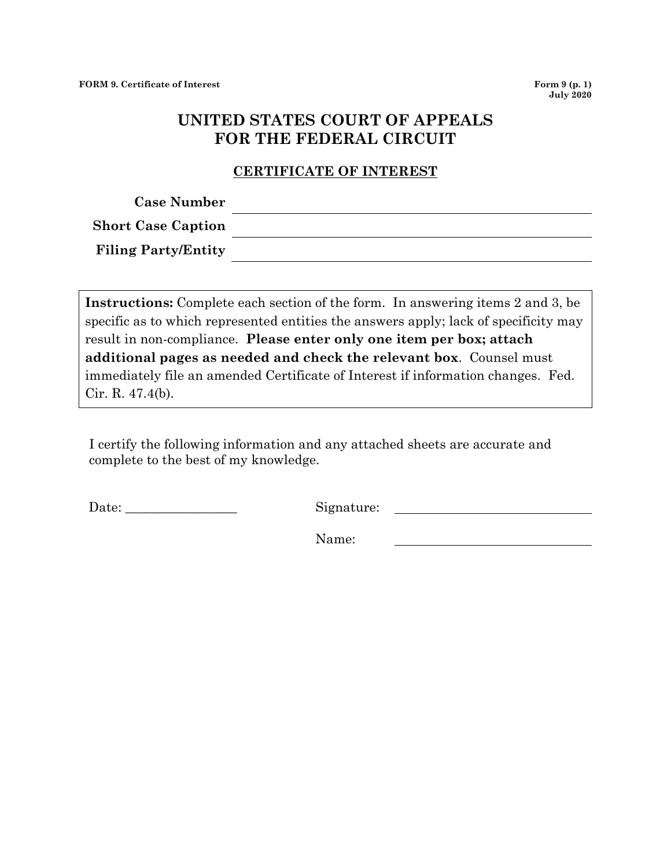## **UNITED STATES COURT OF APPEALS FOR THE FEDERAL CIRCUIT**

## **CERTIFICATE OF INTEREST**

| <b>Case Number</b>         |  |
|----------------------------|--|
| <b>Short Case Caption</b>  |  |
| <b>Filing Party/Entity</b> |  |

**Instructions:** Complete each section of the form. In answering items 2 and 3, be specific as to which represented entities the answers apply; lack of specificity may result in non-compliance. **Please enter only one item per box; attach additional pages as needed and check the relevant box**. Counsel must immediately file an amended Certificate of Interest if information changes. Fed. Cir. R. 47.4(b).

I certify the following information and any attached sheets are accurate and complete to the best of my knowledge.

Date: \_\_\_\_\_\_\_\_\_\_\_\_\_\_\_\_\_ Signature:

Name: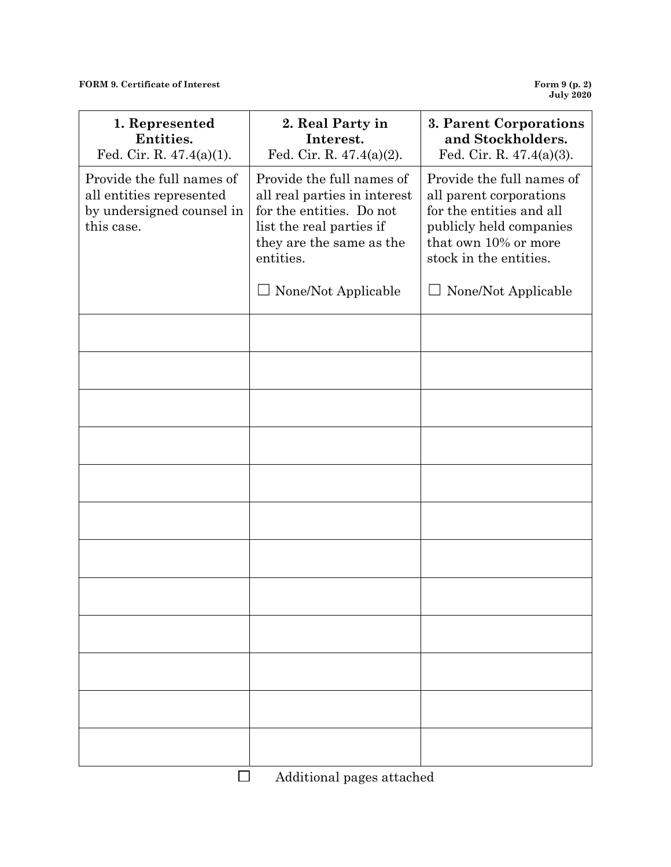**FORM 9. Certificate of Interest** 

**July 2020**

| 1. Represented<br>Entities.<br>Fed. Cir. R. $47.4(a)(1)$ .                                       | 2. Real Party in<br>Interest.<br>Fed. Cir. R. $47.4(a)(2)$ .                                                                                               | 3. Parent Corporations<br>and Stockholders.<br>Fed. Cir. R. $47.4(a)(3)$ .                                                                                    |
|--------------------------------------------------------------------------------------------------|------------------------------------------------------------------------------------------------------------------------------------------------------------|---------------------------------------------------------------------------------------------------------------------------------------------------------------|
| Provide the full names of<br>all entities represented<br>by undersigned counsel in<br>this case. | Provide the full names of<br>all real parties in interest<br>for the entities. Do not<br>list the real parties if<br>they are the same as the<br>entities. | Provide the full names of<br>all parent corporations<br>for the entities and all<br>publicly held companies<br>that own 10% or more<br>stock in the entities. |
|                                                                                                  | None/Not Applicable                                                                                                                                        | None/Not Applicable                                                                                                                                           |
|                                                                                                  |                                                                                                                                                            |                                                                                                                                                               |
|                                                                                                  |                                                                                                                                                            |                                                                                                                                                               |
|                                                                                                  |                                                                                                                                                            |                                                                                                                                                               |
|                                                                                                  |                                                                                                                                                            |                                                                                                                                                               |
|                                                                                                  |                                                                                                                                                            |                                                                                                                                                               |
|                                                                                                  |                                                                                                                                                            |                                                                                                                                                               |
|                                                                                                  |                                                                                                                                                            |                                                                                                                                                               |
|                                                                                                  |                                                                                                                                                            |                                                                                                                                                               |
|                                                                                                  |                                                                                                                                                            |                                                                                                                                                               |
|                                                                                                  |                                                                                                                                                            |                                                                                                                                                               |
|                                                                                                  |                                                                                                                                                            |                                                                                                                                                               |
|                                                                                                  | Additional pages attached                                                                                                                                  |                                                                                                                                                               |

Additional pages attached